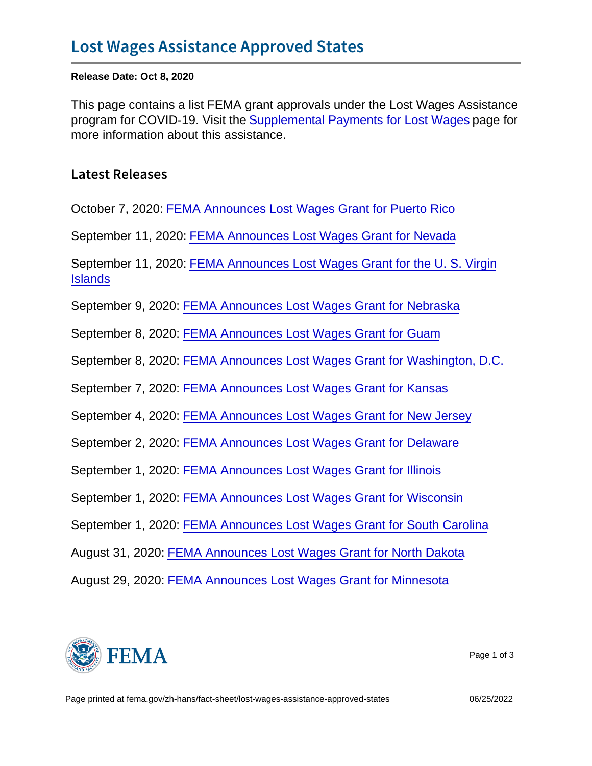Release Date: Oct 8, 2020

This page contains a list FEMA grant approvals under the Lost Wages Assistance program for COVID-19. Visit the [Supplemental Payments for Lost Wages](https://www.fema.gov/disasters/coronavirus/governments/supplemental-payments-lost-wages) page for more information about this assistance.

Latest Releases

October 7, 2020: [FEMA Announces Lost Wages Grant for Puerto Rico](https://www.fema.gov/press-release/20201007/fema-announces-lost-wages-grant-puerto-rico)

September 11, 2020: [FEMA Announces Lost Wages Grant for Nevada](https://www.fema.gov/press-release/20200911/fema-announces-lost-wages-grant-nevada)

September 11, 2020: [FEMA Announces Lost Wages Grant for the U. S. Virgin](https://www.fema.gov/press-release/20200911/fema-announces-lost-wages-grant-u-s-virgin-islands) **[Islands](https://www.fema.gov/press-release/20200911/fema-announces-lost-wages-grant-u-s-virgin-islands)** 

September 9, 2020: [FEMA Announces Lost Wages Grant for Nebraska](https://www.fema.gov/press-release/20200909/fema-announces-lost-wages-grant-nebraska)

September 8, 2020: [FEMA Announces Lost Wages Grant for Guam](https://www.fema.gov/press-release/20200908/fema-announces-lost-wages-grant-guam)

September 8, 2020: [FEMA Announces Lost Wages Grant for Washington, D.C.](https://www.fema.gov/press-release/20200908/fema-announces-lost-wages-grant-washington-dc)

September 7, 2020: [FEMA Announces Lost Wages Grant for Kansas](https://www.fema.gov/press-release/20200907/fema-announces-lost-wages-grant-kansas)

September 4, 2020: [FEMA Announces Lost Wages Grant for New Jersey](https://www.fema.gov/press-release/20200904/fema-announces-lost-wages-grant-new-jersey)

September 2, 2020: [FEMA Announces Lost Wages Grant for Delaware](https://www.fema.gov/press-release/20200902/fema-announces-lost-wages-grant-delaware)

September 1, 2020: [FEMA Announces Lost Wages Grant for Illinois](https://www.fema.gov/press-release/20200901/fema-announces-lost-wages-grant-illinois)

September 1, 2020: [FEMA Announces Lost Wages Grant for Wisconsin](https://www.fema.gov/press-release/20200901/fema-announces-lost-wages-grant-wisconsin)

September 1, 2020: [FEMA Announces Lost Wages Grant for South Carolina](https://www.fema.gov/press-release/20200901/fema-announces-lost-wages-grant-south-carolina)

August 31, 2020: [FEMA Announces Lost Wages Grant for North Dakota](https://www.fema.gov/press-release/20200831/fema-announces-lost-wages-grant-north-dakota)

August 29, 2020: [FEMA Announces Lost Wages Grant for Minnesota](https://www.fema.gov/press-release/20200829/fema-announces-lost-wages-grant-minnesota)



Page 1 of 3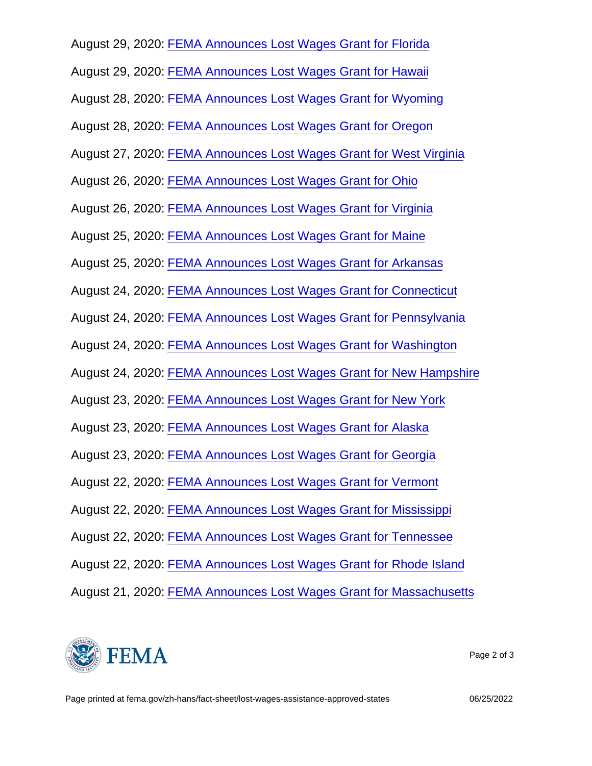August 29, 2020: [FEMA Announces Lost Wages Grant for Florida](https://www.fema.gov/press-release/20200829/fema-announces-lost-wages-grant-florida)

August 29, 2020: [FEMA Announces Lost Wages Grant for Hawaii](https://www.fema.gov/press-release/20200829/fema-announces-lost-wages-grant-hawaii)

August 28, 2020: [FEMA Announces Lost Wages Grant for Wyoming](https://www.fema.gov/press-release/20200828/fema-announces-lost-wages-grant-wyoming)

August 28, 2020: [FEMA Announces Lost Wages Grant for Oregon](https://www.fema.gov/press-release/20200828/fema-announces-lost-wages-grant-oregon)

August 27, 2020: [FEMA Announces Lost Wages Grant for West Virginia](https://www.fema.gov/press-release/20200827/fema-announces-lost-wages-grant-west-virginia)

August 26, 2020: [FEMA Announces Lost Wages Grant for Ohio](https://www.fema.gov/press-release/20200826/fema-announces-lost-wages-grant-ohio)

August 26, 2020: [FEMA Announces Lost Wages Grant for Virginia](https://www.fema.gov/press-release/20200826/fema-announces-lost-wages-grant-virginia)

August 25, 2020: [FEMA Announces Lost Wages Grant for Maine](https://www.fema.gov/press-release/20200825/fema-announces-lost-wages-grant-maine)

August 25, 2020: [FEMA Announces Lost Wages Grant for Arkansas](https://www.fema.gov/press-release/20200825/fema-announces-lost-wages-grant-arkansas)

August 24, 2020: [FEMA Announces Lost Wages Grant for Connecticut](https://www.fema.gov/press-release/20200824/fema-announces-lost-wages-grant-connecticut)

August 24, 2020: [FEMA Announces Lost Wages Grant for Pennsylvania](https://www.fema.gov/press-release/20200824/fema-announces-lost-wages-grant-pennsylvania)

August 24, 2020: [FEMA Announces Lost Wages Grant for Washington](https://www.fema.gov/press-release/20200824/fema-announces-lost-wages-grant-washington)

August 24, 2020: [FEMA Announces Lost Wages Grant for New Hampshire](https://www.fema.gov/press-release/20200824/fema-announces-lost-wages-grant-new-hampshire)

August 23, 2020: [FEMA Announces Lost Wages Grant for New York](https://www.fema.gov/press-release/20200823/fema-announces-lost-wages-grant-new-york)

August 23, 2020: [FEMA Announces Lost Wages Grant for Alaska](https://www.fema.gov/press-release/20200823/fema-announces-lost-wages-grant-alaska)

August 23, 2020: [FEMA Announces Lost Wages Grant for Georgia](https://www.fema.gov/press-release/20200823/fema-announces-lost-wages-grant-georgia)

August 22, 2020: [FEMA Announces Lost Wages Grant for Vermont](https://www.fema.gov/press-release/20200822/fema-announces-lost-wages-grant-vermont)

August 22, 2020: [FEMA Announces Lost Wages Grant for Mississippi](https://www.fema.gov/press-release/20200822/fema-announces-lost-wages-grant-mississippi)

August 22, 2020: [FEMA Announces Lost Wages Grant for Tennessee](https://www.fema.gov/press-release/20200822/fema-announces-lost-wages-grant-tennessee)

August 22, 2020: [FEMA Announces Lost Wages Grant for Rhode Island](https://www.fema.gov/press-release/20200822/fema-announces-lost-wages-grant-rhode-island)

August 21, 2020: [FEMA Announces Lost Wages Grant for Massachusetts](https://www.fema.gov/press-release/20200821/fema-announces-lost-wages-grant-massachusetts)



Page 2 of 3